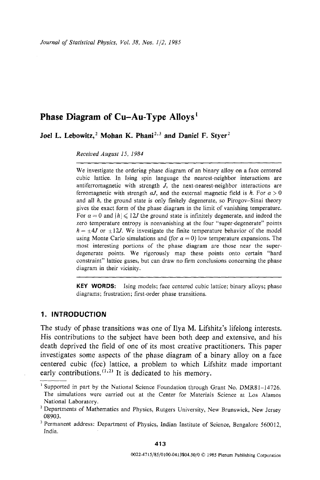*Journal of Statistical Physics, Vol. 38, Nos. 1/2, 1985* 

# **Phase Diagram of Cu-Au-Type Alloys**<sup>1</sup>

Joel L. Lebowitz,<sup>2</sup> Mohan K. Phani<sup>2,3</sup> and Daniel F. Styer<sup>2</sup>

*Received August 15, 1984* 

We investigate the ordering phase diagram of an binary alloy on a face centered cubic lattice. In Ising spin language the nearest-neighbor interactions are antiferromagnetic with strength  $J$ , the next-nearest-neighbor interactions are ferromagnetic with strength  $\alpha J$ , and the external magnetic field is h. For  $\alpha > 0$ and all  $h$ , the ground state is only finitely degenerate, so Pirogov-Sinai theory gives the exact form of the phase diagram in the limit of vanishing temperature. For  $\alpha = 0$  and  $|h| \le 12J$  the ground state is infinitely degenerate, and indeed the zero temperature entropy is nonvanishing at the four "super-degenerate" points  $h = \pm 4J$  or  $\pm 12J$ . We investigate the finite temperature behavior of the model using Monte Carlo simulations and (for  $\alpha = 0$ ) low temperature expansions. The most interesting portions of the phase diagram are those near the superdegenerate points. We rigorously map these points onto certain "hard constraint" lattice gases, but can draw no firm conclusions concerning the phase diagram in their vicinity.

**KEY WORDS:** Ising models; face centered cubic lattice; binary alloys; phase diagrams; frustration; first-order phase transitions.

# **1. INTRODUCTION**

The study of phase transitions was one of Ilya M. Lifshitz's lifelong interests. His contributions to the subject have been both deep and extensive, and his death deprived the field of one of its most creative practitioners. This paper investigates some aspects of the phase diagram of a binary alloy on a face centered cubic (fcc) lattice, a problem to which Lifshitz made important early contributions.  $(1,2)$  It is dedicated to his memory.

<sup>&</sup>lt;sup>1</sup> Supported in part by the National Science Foundation through Grant No.  $DMR81-14726$ . The simulations were carried out at the Center for Materials Science at Los Alamos National Laboratory.

<sup>&</sup>lt;sup>2</sup> Departments of Mathematics and Physics, Rutgers University, New Brunswick, New Jersey 08903.

<sup>&</sup>lt;sup>3</sup> Permanent address: Department of Physics, Indian Institute of Science, Bengalore 560012, India.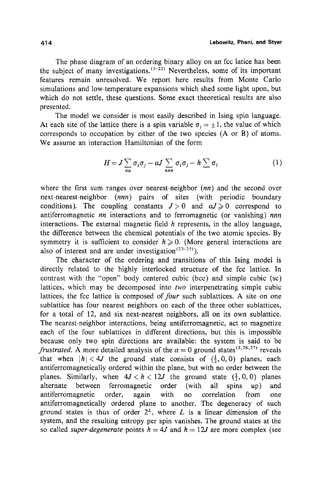The phase diagram of an ordering binary alloy on an fcc latice has been the subject of many investigations.  $(1-22)$  Nevertheless, some of its important features remain unresolved. We report here results from Monte Carlo simulations and low-temperature expansions which shed some light upon, but which do not settle, these questions. Some exact theoretical results are also presented.

The model we consider is most easily described in Ising spin language. At each site of the lattice there is a spin variable  $\sigma_i = \pm 1$ , the value of which corresponds to occupation by either of the two species (A or B) of atoms. We assume an interaction Hamiltonian of the form

$$
H = J \sum_{nn} \sigma_i \sigma_j - \alpha J \sum_{nnn} \sigma_i \sigma_j - h \sum_{i} \sigma_i \tag{1}
$$

where the first sum ranges over nearest-neighbor *(nn)* and the second over next-nearest-neighbor *(nnn)* pairs of sites (with periodic boundary conditions). The coupling constants  $J>0$  and  $\alpha J\geq 0$  correspond to antiferromagnetic *nn* interactions and to ferromagnetic (or vanishing) *nnn*  interactions. The external magnetic field  $h$  represents, in the alloy language, the difference between the chemical potentials of the two atomic species. By symmetry it is sufficient to consider  $h \ge 0$ . (More general interactions are also of interest and are under investigation<sup> $(23-25)$ </sup>).

The character of the ordering and transitions of this Ising model is directly related to the highly interlocked structure of the fcc lattice. In contrast with the "open" body centered cubic (bcc) and simple cubic (sc) lattices, which may be decomposed into *two* interpenetrating simple cubic lattices, the fcc lattice is composed *of four* such sublattices. A site on one sublattice has four nearest neighbors on each of the three other sublattices, for a total of 12, and six next-nearest neighbors, all on its own sublattice. The nearest-neighbor interactions, being antiferromagnetic, act to magnetize each of the four sublattices in different directions, but this is impossible because only two spin directions are available: the system is said to be *frustrated.* A more detailed analysis of the  $\alpha = 0$  ground states<sup>(3,26,27)</sup> reveals that when  $|h| < 4J$  the ground state consists of  $(\frac{1}{2}, 0, 0)$  planes, each antiferromagnetically ordered within the plane, but with no order between the planes. Similarly, when  $4J < h < 12J$  the ground state  $(\frac{1}{2}, 0, 0)$  planes alternate between ferromagnetic order (with all spins up) and antiferromagnetic order, again with no correlation from one antiferromagnetieally ordered plane to another. The degeneracy of such ground states is thus of order  $2^L$ , where L is a linear dimension of the system, and the resulting entropy per spin vanishes. The ground states at the so called *super-degenerate* points  $h = 4J$  and  $h = 12J$  are more complex (see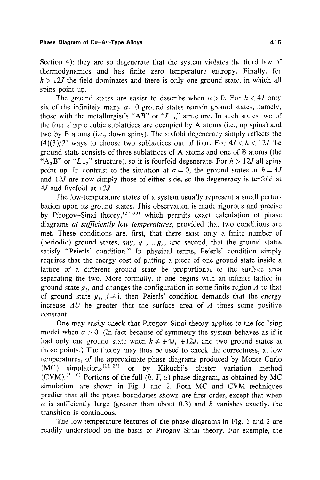Section 4): they are so degenerate that the system violates the third law of thermodynamics and has finite zero temperature entropy. Finally, for  $h > 12J$  the field dominates and there is only one ground state, in which all spins point up.

The ground states are easier to describe when  $\alpha > 0$ . For  $h < 4J$  only six of the infinitely many  $\alpha=0$  ground states remain ground states, namely, those with the metallurgist's "AB" or " $L1_0$ " structure. In such states two of the four simple cubic sublattices are occupied by A atoms (i.e., up spins) and two by B atoms (i.e., down spins). The sixfold degeneracy simply reflects the  $(4)(3)/2!$  ways to choose two sublattices out of four. For  $4J < h < 12J$  the ground state consists of three sublattices of A atoms and one of B atoms (the "A<sub>3</sub>B" or "L1<sub>2</sub>" structure), so it is fourfold degenerate. For  $h > 12J$  all spins point up. In contrast to the situation at  $\alpha = 0$ , the ground states at  $h = 4J$ and  $12J$  are now simply those of either side, so the degeneracy is tenfold at 4J and fivefold at 12J.

The low-temperature states of a system usually represent a small perturbation upon its ground states. This observation is made rigorous and precise by Pirogov-Sinai theory,  $(27-30)$  which permits exact calculation of phase diagrams *at sufficiently low temperatures,* provided that two conditions are met. These conditions are, first, that there exist only a finite number of (periodic) ground states, say,  $g_1, ..., g_r$ , and second, that the ground states satisfy "Peierls' condition." In physical terms, Peierls' condition simply requires that the energy cost of putting a piece of one ground state inside a lattice of a different ground state be proportional to the surface area separating the two. More formally, if one begins with an infinite lattice in ground state  $g_i$ , and changes the configuration in some finite region  $\Lambda$  to that of ground state  $g_i$ ,  $j \neq i$ , then Peierls' condition demands that the energy increase  $\Delta U$  be greater that the surface area of  $\Lambda$  times some positive constant.

One may easily check that Pirogov-Sinai theory applies to the fcc Ising model when  $\alpha > 0$ . (In fact because of symmetry the system behaves as if it had only one ground state when  $h \neq \pm 4J$ ,  $\pm 12J$ , and two ground states at those points.) The theory may thus be used to check the correctness, at low temperatures, of the approximate phase diagrams produced by Monte Carlo  $(MC)$  simulations<sup> $(12-22)$ </sup> or by Kikuchi's cluster variation method  $(CVM)$ . <sup>(5-10)</sup> Portions of the full  $(h, T, \alpha)$  phase diagram, as obtained by MC simulation, are shown in Fig. 1 and 2. Both MC and CVM techniques predict that all the phase boundaries shown are first order, except that when  $\alpha$  is sufficiently large (greater than about 0.3) and h vanishes exactly, the transition is continuous.

The low-temperature features of the phase diagrams in Fig. 1 and 2 are readily understood on the basis of Pirogov-Sinai theory. For example, the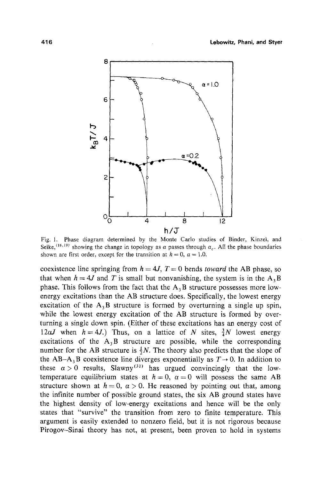

Fig. 1. Phase diagram determined by the Monte Carlo studies of Binder, Kinzei, and Selke,<sup>(16,19)</sup> showing the change in topology as  $\alpha$  passes through  $\alpha_c$ . All the phase boundaries shown are first order, except for the transition at  $h = 0$ ,  $\alpha = 1.0$ .

coexistence line springing from  $h = 4J$ ,  $T = 0$  bends *toward* the AB phase, so that when  $h = 4J$  and T is small but nonvanishing, the system is in the A<sub>3</sub>B phase. This follows from the fact that the  $A_3B$  structure possesses more lowenergy excitations than the AB structure does. Specifically, the lowest energy excitation of the  $A_3B$  structure is formed by overturning a single up spin, while the lowest energy excitation of the AB structure is formed by overturning a single down spin. (Either of these excitations has an energy cost of  $12\alpha J$  when  $h = 4J$ .) Thus, on a lattice of N sites,  $\frac{3}{4}N$  lowest energy excitations of the  $A_3B$  structure are possible, while the corresponding number for the AB structure is  $\frac{1}{2}N$ . The theory also predicts that the slope of the AB-A<sub>3</sub>B coexistence line diverges exponentially as  $T \rightarrow 0$ . In addition to these  $\alpha > 0$  results, Slawny<sup>(31)</sup> has urgued convincingly that the lowtemperature equilibrium states at  $h = 0$ ,  $\alpha = 0$  will possess the same AB structure shown at  $h = 0$ ,  $\alpha > 0$ . He reasoned by pointing out that, among the infinite number of possible ground states, the six AB ground states have the highest density of low-energy excitations and hence will be the only states that "survive" the transition from zero to finite temperature. This argument is easily extended to nonzero field, but it is not rigorous because Pirogov-Sinai theory has not, at present, been proven to hold in systems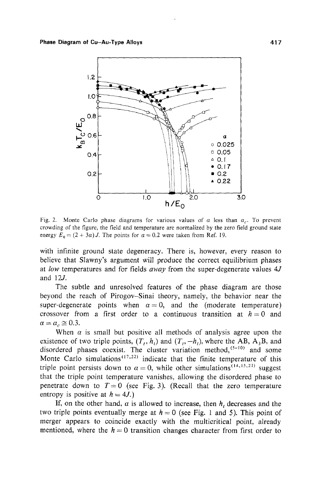

Fig. 2. Monte Carlo phase diagrams for various values of  $\alpha$  less than  $\alpha_c$ . To prevent crowding of the figure, the field and temperature are normalized by the zero field ground state energy  $E_0 = (2 + 3\alpha)J$ . The points for  $\alpha = 0.2$  were taken from Ref. 19.

with infinite ground state degeneracy. There is, however, every reason to believe that Slawny's argument will produce the correct equilibrium phases at *low* temperatures and for fields *away* from the super-degenerate values 4,/ and 12*J*.

The subtle and unresolved features of the phase diagram are those beyond the reach of Pirogov-Sinai theory, namely, the behavior near the super-degenerate points when  $\alpha=0$ , and the (moderate temperature) crossover from a first order to a continuous transition at  $h=0$  and  $\alpha=\alpha_c\cong 0.3$ .

When  $\alpha$  is small but positive all methods of analysis agree upon the existence of two triple points,  $(T_t, h_t)$  and  $(T_t, -h_t)$ , where the AB, A<sub>3</sub>B, and disordered phases coexist. The cluster variation method,  $(5-10)$  and some Monte Carlo simulations<sup> $(17,22)$ </sup> indicate that the finite temperature of this triple point persists down to  $\alpha = 0$ , while other simulations<sup>(14,15,21)</sup> suggest that the triple point temperature vanishes, allowing the disordered phase to penetrate down to  $T=0$  (see Fig. 3). (Recall that the zero temperature entropy is positive at  $h = 4J$ .)

If, on the other hand,  $\alpha$  is allowed to increase, then  $h_t$  decreases and the two triple points eventually merge at  $h = 0$  (see Fig. 1 and 5). This point of merger appears to coincide exactly with the multicritical point, already mentioned, where the  $h = 0$  transition changes character from first order to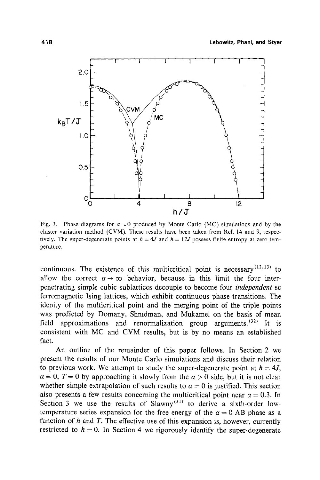

Fig. 3. Phase diagrams for  $\alpha = 0$  produced by Monte Carlo (MC) simulations and by the cluster variation method (CVM). These results have been taken from Ref. 14 and 9, respectively. The super-degenerate points at  $h = 4J$  and  $h = 12J$  possess finite entropy at zero temperature.

continuous. The existence of this multicritical point is necessary  $(12,13)$  to allow the correct  $\alpha \rightarrow \infty$  behavior, because in this limit the four interpenetrating simple cubic sublattices decouple to become four *independent* sc ferromagnetic Ising lattices, which exhibit continuous phase transitions. The idenity of the multicritical point and the merging point of the triple points was predicted by Domany, Shnidman, and Mukamel on the basis of mean field approximations and renormalization group arguments.  $(32)$  It is consistent with MC and CVM results, but is by no means an established fact.

An outline of the remainder of this paper follows. In Section 2 we present the results of our Monte Carlo simulations and discuss their relation to previous work. We attempt to study the super-degenerate point at  $h = 4J$ ,  $\alpha = 0$ ,  $T = 0$  by approaching it slowly from the  $\alpha > 0$  side, but it is not clear whether simple extrapolation of such results to  $\alpha = 0$  is justified. This section also presents a few results concerning the multicritical point near  $\alpha = 0.3$ . In Section 3 we use the results of Slawny<sup>(31)</sup> to derive a sixth-order lowtemperature series expansion for the free energy of the  $\alpha = 0$  AB phase as a function of  $h$  and  $T$ . The effective use of this expansion is, however, currently restricted to  $h = 0$ . In Section 4 we rigorously identify the super-degenerate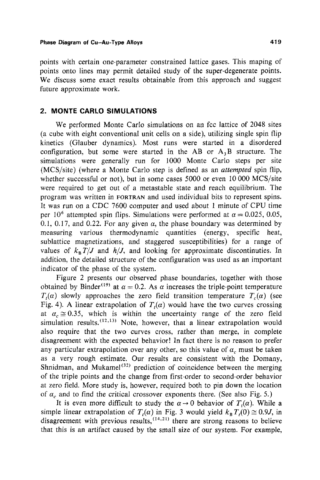points with certain one-parameter constrained lattice gases. This maping of points onto lines may permit detailed study of the super-degenerate points. We discuss some exact results obtainable from this approach and suggest future approximate work.

# **2. MONTE CARLO SIMULATIONS**

We performed Monte Carlo simulations on an fcc lattice of 2048 sites (a cube with eight conventional unit cells on a side), utilizing single spin flip kinetics (Glauber dynamics). Most runs were started in a disordered configuration, but some were started in the AB or  $A_3B$  structure. The simulations were generally run for 1000 Monte Carlo steps per site (MCS/site) (where a Monte Carlo step is defined as an *attempted* spin flip, whether successful or not), but in some cases 5000 or even 10 000 MCS/site were required to get out of a metastable state and reach equilibrium. The program was written in FORTRAN and used individual bits to represent spins. It was run on a CDC 7600 computer and used about 1 minute of CPU time per 10<sup>6</sup> attempted spin flips. Simulations were performed at  $\alpha = 0.025, 0.05$ , 0.1, 0.17, and 0.22. For any given  $\alpha$ , the phase boundary was determined by measuring various thermodynamic quantities (energy, specific heat, sublattice magnetizations, and staggered susceptibilities) for a range of values of  $k_B T/J$  and  $h/J$ , and looking for approximate discontinuties. In addition, the detailed structure of the configuration was used as an important indicator of the phase of the system.

Figure 2 presents our observed phase boundaries, together with those obtained by Binder<sup>(19)</sup> at  $\alpha = 0.2$ . As  $\alpha$  increases the triple-point temperature  $T<sub>i</sub>(\alpha)$  slowly approaches the zero field transition temperature  $T<sub>i</sub>(\alpha)$  (see Fig. 4). A linear extrapolation of  $T<sub>t</sub>(\alpha)$  would have the two curves crossing at  $\alpha_c \approx 0.35$ , which is within the uncertainty range of the zero field simulation results.  $(12,13)$  Note, however, that a linear extrapolation would also require that the two curves cross, rather than merge, in complete disagreement with the expected behavior! In fact there is no reason to prefer any particular extrapolation over any other, so this value of  $\alpha_c$  must be taken as a very rough estimate. Our results are consistent with the Domany, Shnidman, and Mukamel<sup> $(32)$ </sup> prediction of coincidence between the merging of the triple points and the change from first-order to second-order behavior at zero field. More study is, however, required both to pin down the location of  $\alpha_c$  and to find the critical crossover exponents there. (See also Fig. 5.)

It is even more difficult to study the  $\alpha \rightarrow 0$  behavior of  $T<sub>t</sub>(\alpha)$ . While a simple linear extrapolation of  $T<sub>t</sub>(\alpha)$  in Fig. 3 would yield  $k_{\rm B} T<sub>t</sub>(0) \approx 0.9J$ , in disagreement with previous results,  $(14,21)$  there are strong reasons to believe that this is an artifact caused by the small size of our system. For example,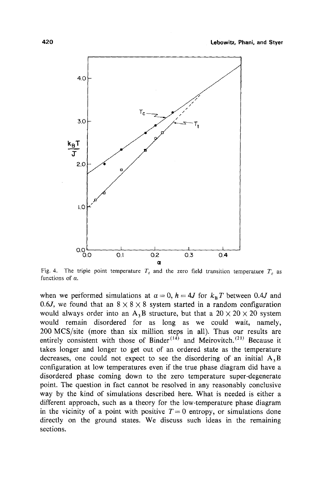

Fig. 4. The triple point temperature  $T_t$  and the zero field transition temperature  $T_c$  as functions of  $\alpha$ .

when we performed simulations at  $\alpha = 0$ ,  $h = 4J$  for  $k_B T$  between 0.4J and 0.6J, we found that an  $8 \times 8 \times 8$  system started in a random configuration would always order into an A<sub>3</sub>B structure, but that a  $20 \times 20 \times 20$  system would remain disordered for as long as we could wait, namely, 200 MCS/site (more than six million steps in all). Thus our results are entirely consistent with those of Binder<sup> $(14)$ </sup> and Meirovitch.<sup>(21)</sup> Because it takes longer and longer to get out of an ordered state as the temperature decreases, one could not expect to see the disordering of an initial  $A_3B$ configuration at low temperatures even if the true phase diagram did have a disordered phase coming down to the zero temperature super-degenerate point. The question in fact cannot be resolved in any reasonably conclusive way by the kind of simulations described here. What is needed is either a different approach, such as a theory for the low-temperature phase diagram in the vicinity of a point with positive  $T=0$  entropy, or simulations done directly on the ground states. We discuss such ideas in the remaining sections.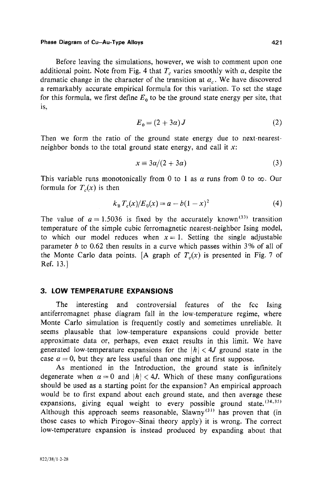Before leaving the simulations, however, we wish to comment upon one additional point. Note from Fig. 4 that  $T_c$  varies smoothly with  $\alpha$ , despite the dramatic change in the character of the transition at  $\alpha_c$ . We have discovered a remarkably accurate empirical formula for this variation. To set the stage for this formula, we first define  $E_0$  to be the ground state energy per site, that is,

$$
E_0 = (2 + 3a)J \tag{2}
$$

Then we form the ratio of the ground state energy due to next-nearestneighbor bonds to the total ground state energy, and call it  $x$ :

$$
x \equiv 3a/(2+3a) \tag{3}
$$

This variable runs monotonically from 0 to 1 as  $\alpha$  runs from 0 to  $\infty$ . Our formula for  $T_c(x)$  is then

$$
k_{\rm B} T_c(x)/E_0(x) = a - b(1-x)^2 \tag{4}
$$

The value of  $a = 1.5036$  is fixed by the accurately known<sup>(33)</sup> transition temperature of the simple cubic ferromagnetic nearest-neighbor Ising model, to which our model reduces when  $x=1$ . Setting the single adjustable parameter b to  $0.62$  then results in a curve which passes within 3% of all of the Monte Carlo data points. [A graph of  $T_c(x)$  is presented in Fig. 7 of Ref. 13.]

## **3. LOW TEMPERATURE EXPANSIONS**

The interesting and controversial features of the fcc Ising antiferromagnet phase diagram fall in the low-temperature regime, where Monte Carlo simulation is frequently costly and sometimes unreliable. It seems plausable that low-temperature expansions could provide better approximate data or, perhaps, even exact results in this limit. We have generated low-temperature expansions for the  $|h| < 4J$  ground state in the case  $\alpha = 0$ , but they are less useful than one might at first suppose.

As mentioned in the Introduction, the ground state is infinitely degenerate when  $\alpha = 0$  and  $|h| < 4J$ . Which of these many configurations should be used as a starting point for the expansion? An empirical approach would be to first expand about each ground state, and then average these expansions, giving equal weight to every possible ground state.  $(34,35)$ Although this approach seems reasonable, Slawny<sup>(31)</sup> has proven that (in those cases to which Pirogov-Sinai theory apply) it is wrong. The correct low-temperature expansion is instead produced by expanding about that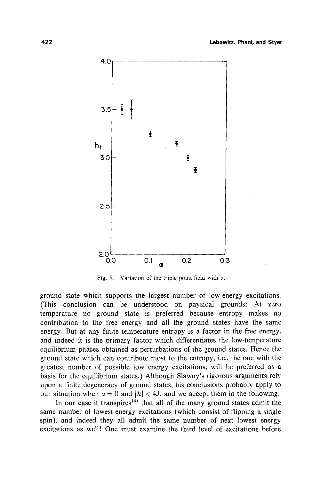

Fig. 5. Variation of the triple point field with  $\alpha$ .

ground state which supports the largest number of low-energy excitations. (This conclusion can be understood on physical grounds: At zero temperature no ground state is preferred because entropy makes no contribution to the free energy and all the ground states have the same energy. But at any finite temperature entropy is a factor in the free energy, and indeed it is the primary factor which differentiates the low-temperature equilibrium phases obtained as perturbations of the ground states. Hence the ground state which can contribute most to the entropy, i.e., the one with the greatest number of possible low energy excitations, will be preferred as a basis for the equilibrium states.) Although Slawny's rigorous arguments rely upon a finite degeneracy of ground states, his conclusions probably apply to our situation when  $\alpha = 0$  and  $|h| < 4J$ , and we accept them in the following.

In our case it transpires<sup> $(4)$ </sup> that all of the many ground states admit the same number of lowest-energy excitations (which consist of flipping a single spin), and indeed they all admit the same number of next lowest energy excitations as well! One must examine the third level of excitations before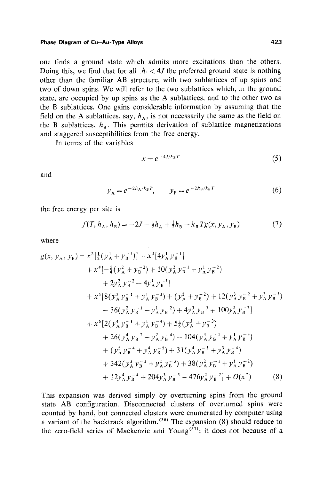one finds a ground state which admits more excitations than the others. Doing this, we find that for all  $|h| < 4J$  the preferred ground state is nothing other than the familiar AB structure, with two sublattices of up spins and two of down spins. We will refer to the two sublattices which, in the ground state, are occupied by up spins as the A sublattices, and to the other two as the B sublattices. One gains considerable information by assuming that the field on the A sublattices, say,  $h_A$ , is not necessarily the same as the field on the B sublattices,  $h_{\rm B}$ . This permits derivation of sublattice magnetizations and staggered susceptibilities from the free energy.

In terms of the variables

$$
x = e^{-4J/k_B T} \tag{5}
$$

and

$$
y_A = e^{-2h_A/k_B T}
$$
,  $y_B = e^{-2h_B/k_B T}$  (6)

the free energy per site is

$$
f(T, h_A, h_B) = -2J - \frac{1}{2}h_A + \frac{1}{2}h_B - k_B Tg(x, y_A, y_B)
$$
 (7)

where

$$
g(x, y_A, y_B) = x^2 \left[\frac{1}{2} (y_A^1 + y_B^{-1})\right] + x^3 \left[4y_A^1 y_B^{-1}\right] + x^4 \left[-\frac{5}{4} (y_A^2 + y_B^{-2}) + 10 (y_A^2 y_B^{-1} + y_A^1 y_B^{-2}) + 2y_A^2 y_B^{-2} - 4y_A^1 y_B^{-1}] + x^5 \left[8 (y_A^3 y_B^{-1} + y_A^1 y_B^{-3}) + (y_A^2 + y_B^{-2}) + 12 (y_A^3 y_B^{-2} + y_A^2 y_B^{-3}) \right] - 36 (y_A^2 y_B^{-1} + y_A^1 y_B^{-2}) + 4y_A^3 y_B^{-3} + 100 y_A^2 y_B^{-2} + x^6 \left[2 (y_A^4 y_B^{-1} + y_A^1 y_B^{-4}) + 5\frac{1}{6} (y_A^3 + y_B^{-3}) + 26 (y_A^4 y_B^{-2} + y_A^2 y_B^{-4}) - 104 (y_A^3 y_B^{-1} + y_A^1 y_B^{-3}) + (y_A^5 y_B^{-4} + y_A^4 y_B^{-5}) + 31 (y_A^4 y_B^{-3} + y_A^3 y_B^{-4}) + 342 (y_A^3 y_B^{-2} + y_A^2 y_B^{-3}) + 38 (y_A^2 y_B^{-1} + y_A^1 y_B^{-2}) + 12y_A^4 y_B^{-4} + 204y_A^3 y_B^{-3} - 476y_A^2 y_B^{-2} + O(x^7)
$$
 (8)

This expansion was derived simply by overturning spins from the ground state AB configuration. Disconnected clusters of overturned spins were counted by hand, but connected clusters were enumerated by computer using a variant of the backtrack algorithm.<sup> $(36)$ </sup> The expansion (8) should reduce to the zero-field series of Mackenzie and Young<sup>(37)</sup>: it does not because of a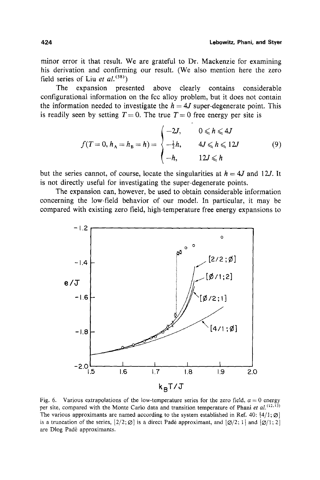minor error it that result. We are grateful to Dr. Mackenzie for examining his derivation and confirming our result. (We also mention here the zero field series of Liu *et al.*<sup>(38)</sup>)

The expansion presented above clearly contains considerable configurational information on the fcc alloy problem, but it does not contain the information needed to investigate the  $h = 4J$  super-degenerate point. This is readily seen by setting  $T = 0$ . The true  $T = 0$  free energy per site is

$$
f(T = 0, h_{A} = h_{B} = h) = \begin{cases} -2J, & 0 \le h \le 4J \\ -\frac{1}{2}h, & 4J \le h \le 12J \\ -h, & 12J \le h \end{cases}
$$
(9)

but the series cannot, of course, locate the singularities at  $h = 4J$  and 12*J*. It is not directly useful for investigating the super-degenerate points.

The expansion can, however, be used to obtain considerable information concerning the low-field behavior of our model. In particular, it may be compared with existing zero field, high-temperature free energy expansions to



Fig. 6. Various extrapolations of the low-temperature series for the zero field,  $\alpha = 0$  energy per site, compared with the Monte Carlo data and transition temperature of Phani et al.<sup>(12,13)</sup> The various approximants are named according to the system established in Ref. 40:  $[4/1; \emptyset]$ is a truncation of the series,  $\left[2/2;\emptyset\right]$  is a direct Padé approximant, and  $\left[\emptyset/2;1\right]$  and  $\left[\emptyset/1;2\right]$ are Dlog Padé approximants.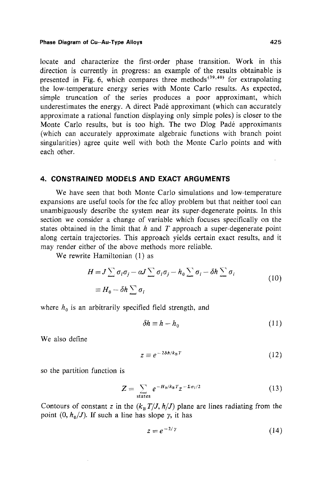locate and characterize the first-order phase transition. Work in this direction is currently in progress: an example of the results obtainable is presented in Fig. 6, which compares three methods  $(39,40)$  for extrapolating the low-temperature energy series with Monte Carlo results. As expected, simple truncation of the series produces a poor approximant, which underestimates the energy. A direct Pad6 approximant (which can accurately approximate a rational function displaying only simple poles) is closer to the Monte Carlo results, but is too high. The two Dlog Padé approximants (which can accurately approximate algebraic functions with branch point singularities) agree quite well with both the Monte Carlo points and with each other.

### **4. CONSTRAINED MODELS AND EXACT ARGUMENTS**

We have seen that both Monte Carlo simulations and low-temperature expansions are useful tools for the fcc alloy problem but that neither tool can unambiguously describe the system near its super-degenerate points. In this section we consider a change of variable which focuses specifically on the states obtained in the limit that h and T approach a super-degenerate point along certain trajectories. This approach yields certain exact results, and it may render either of the above methods more reliable.

We rewrite Hamiltonian (1) as

$$
H = J \sum \sigma_i \sigma_j - aJ \sum \sigma_i \sigma_j - h_0 \sum \sigma_i - \delta h \sum \sigma_i
$$
  

$$
\equiv H_0 - \delta h \sum \sigma_i
$$
 (10)

where  $h_0$  is an arbitrarily specified field strength, and

$$
\delta h \equiv h - h_0 \tag{11}
$$

We also define

$$
z \equiv e^{-2\delta h/k_B T} \tag{12}
$$

so the partition function is

$$
Z = \sum_{\text{states}} e^{-H_0/k_B T} z^{-\Sigma \sigma_l/2} \tag{13}
$$

Contours of constant z in the  $(k_B T/J, h/J)$  plane are lines radiating from the point  $(0, h_0/J)$ . If such a line has slope  $\gamma$ , it has

$$
z = e^{-2/\gamma} \tag{14}
$$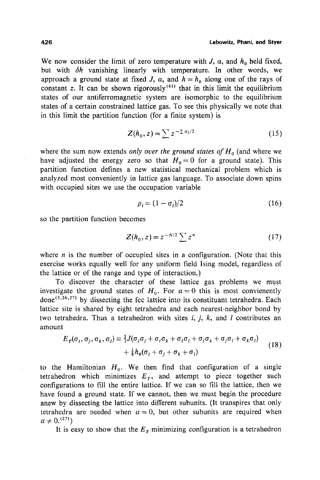We now consider the limit of zero temperature with J,  $\alpha$ , and  $h_0$  held fixed, but with  $\delta h$  vanishing linearly with temperature. In other words, we approach a ground state at fixed J,  $\alpha$ , and  $h = h_0$  along one of the rays of constant z. It can be shown rigorously<sup>(41)</sup> that in this limit the equilibrium states of our antiferromagnetic system are isomorphic to the equilibrium states of a certain constrained lattice gas. To see this physically we note that in this limit the partition function (for a finite system) is

$$
Z(h_0, z) = \sum z^{-\sum \sigma_i/2} \tag{15}
$$

where the sum now extends *only over the ground states of*  $H_0$  (and where we have adjusted the energy zero so that  $H_0 = 0$  for a ground state). This partition function defines a new statistical mechanical problem which is analyzed most conveniently in lattice gas language. To associate down spins with occupied sites we use the occupation variable

$$
\rho_i = (1 - \sigma_i)/2 \tag{16}
$$

so the partition function becomes

$$
Z(h_0, z) = z^{-N/2} \sum z^n
$$
 (17)

where  $n$  is the number of occupied sites in a configuration. (Note that this exercise works equally well for any uniform field ising model, regardless of the lattice or of the range and type of interaction.)

To discover the character of these lattice gas problems we must investigate the ground states of  $H_0$ . For  $\alpha = 0$  this is most convienently done<sup> $(3,26,27)$ </sup> by dissecting the fcc lattice into its constituant tetrahedra. Each lattice site is shared by eight tetrahedra and each nearest-neighbor bond by two tetrahedra. Thus a tetrahedron with sites  $i, j, k$ , and  $l$  contributes an amount

$$
E_T(\sigma_i, \sigma_j, \sigma_k, \sigma_l) \equiv \frac{1}{2} J(\sigma_i \sigma_j + \sigma_i \sigma_k + \sigma_i \sigma_l + \sigma_j \sigma_k + \sigma_j \sigma_l + \sigma_k \sigma_l)
$$
  
+ 
$$
\frac{1}{8} h_0(\sigma_i + \sigma_j + \sigma_k + \sigma_l)
$$
 (18)

to the Hamiltonian  $H_0$ . We then find that configuration of a single tetrahedron which minimizes  $E_T$ , and attempt to piece together such configurations to fill the entire lattice. If we can so fill the lattice, then we have found a ground state. If we cannot, then we must begin the procedure anew by dissecting the lattice into different subunits. (It transpires that only tetrahedra are needed when  $\alpha = 0$ , but other subunits are required when  $\alpha \neq 0$ .  $(27)$ )

It is easy to show that the  $E<sub>T</sub>$  minimizing configuration is a tetrahedron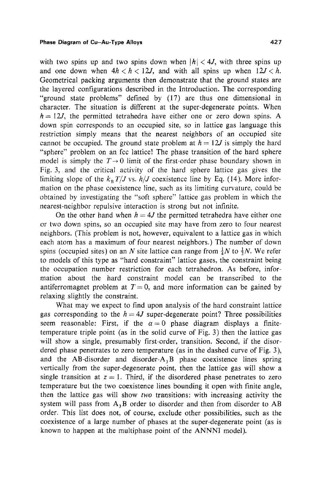with two spins up and two spins down when  $|h| < 4J$ , with three spins up and one down when  $4h < h < 12J$ , and with all spins up when  $12J < h$ . Geometrical packing arguments then demonstrate that the ground states are the layered configurations described in the Introduction. The corresponding "ground state problems" defined by (17) are thus one dimensional in character. The situation is different at the super-degenerate points. When  $h = 12J$ , the permitted tetrahedra have either one or zero down spins. A down spin corresponds to an occupied site, so in lattice gas language this restriction simply means that the nearest neighbors of an occupied site cannot be occupied. The ground state problem at  $h = 12J$  is simply the hard "sphere" problem on an fcc lattice! The phase transition of the hard sphere model is simply the  $T \rightarrow 0$  limit of the first-order phase boundary shown in Fig. 3, and the critical activity of the hard sphere lattice gas gives the limiting slope of the  $k_B T/J$  vs.  $h/J$  coexistence line by Eq. (14). More information on the phase coexistence line, such as its limiting curvature, could be obtained by investigating the "soft sphere" lattice gas problem in which the nearest-neighbor repulsive interaction is strong but not infinite.

On the other hand when  $h = 4J$  the permitted tetrahedra have either one or two down spins, so an occupied site may have from zero to four nearest neighbors. (This problem is not, however, equivalent to a lattice gas in which each atom has a maximum of four nearest neighbors.) The number of down spins (occupied sites) on an N site lattice can range from  $\frac{1}{4}N$  to  $\frac{1}{2}N$ . We refer to models of this type as "hard constraint" lattice gases, the constraint being the occupation number restriction for each tetrahedron. As before, information about the hard constraint model can be transcribed to the antiferromagnet problem at  $T=0$ , and more information can be gained by relaxing slightly the constraint.

What may we expect to find upon analysis of the hard constraint lattice gas corresponding to the  $h=4J$  super-degenerate point? Three possibilities seem reasonable: First, if the  $\alpha=0$  phase diagram displays a finitetemperature triple point (as in the solid curve of Fig. 3) then the lattice gas will show a single, presumably first-order, transition. Second, if the disordered phase penetrates to zero temperature (as in the dashed curve of Fig. 3), and the AB-disorder and disorder- $A_3B$  phase coexistence lines spring vertically from the super-degenerate point, then the lattice gas will show a single transition at  $z = 1$ . Third, if the disordered phase penetrates to zero temperature but the two coexistence lines bounding it open with finite angle, then the lattice gas will show *two* transitions: with increasing activity the system will pass from  $A_3B$  order to disorder and then from disorder to AB order. This list does not, of course, exclude other possibilities, such as the coexistence of a large number of phases at the super-degenerate point (as is known to happen at the multiphase point of the ANNNI model).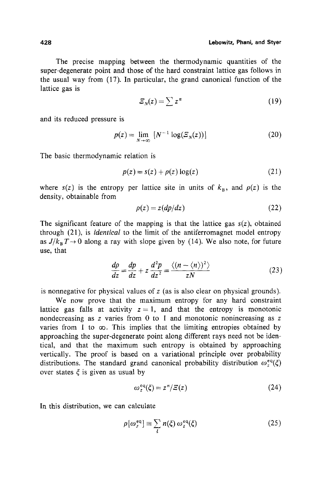The precise mapping between the thermodynamic quantities of the super-degenerate point and those of the hard constraint lattice gas follows in the usual way from (17). In particular, the grand canonical function of the lattice gas is

$$
\mathcal{Z}_N(z) = \sum z^n \tag{19}
$$

and its reduced pressure is

$$
p(z) = \lim_{N \to \infty} \left[ N^{-1} \log(\mathcal{Z}_N(z)) \right] \tag{20}
$$

The basic thermodynamic relation is

$$
p(z) = s(z) + \rho(z) \log(z) \tag{21}
$$

where  $s(z)$  is the entropy per lattice site in units of  $k_B$ , and  $p(z)$  is the density, obtainable from

$$
\rho(z) = z(dp/dz) \tag{22}
$$

The significant feature of the mapping is that the lattice gas  $s(z)$ , obtained through (21), is *identical* to the limit of the antiferromagnet model entropy as  $J/k_B T \rightarrow 0$  along a ray with slope given by (14). We also note, for future use, that

$$
\frac{dp}{dz} = \frac{dp}{dz} + z\,\frac{d^2p}{dz^2} = \frac{\langle (n - \langle n \rangle)^2 \rangle}{zN} \tag{23}
$$

is nonnegative for physical values of z (as is also clear on physical grounds).

We now prove that the maximum entropy for any hard constraint lattice gas falls at activity  $z = 1$ , and that the entropy is monotonic nondecreasing as  $z$  varies from 0 to 1 and monotonic nonincreasing as  $z$ varies from 1 to  $\infty$ . This implies that the limiting entropies obtained by approaching the super-degenerate point along different rays need not be identical, and that the maximum such entropy is obtained by approaching vertically. The proof is based on a variational principle over probability distributions. The standard grand canonical probability distribution  $\omega_{\tau}^{\text{eq}}(\xi)$ over states  $\xi$  is given as usual by

$$
\omega_z^{eq}(\xi) = z^n/\varXi(z) \tag{24}
$$

In this distribution, we can calculate

$$
\rho[\omega_z^{\text{eq}}] \equiv \sum_{\xi} n(\xi) \omega_z^{\text{eq}}(\xi) \tag{25}
$$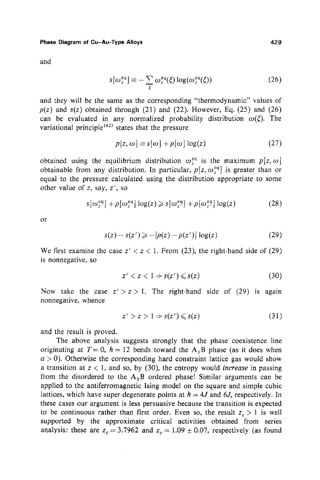and

$$
s[\omega_z^{\text{eq}}] \equiv -\sum_{\xi} \omega_z^{\text{eq}}(\xi) \log(\omega_z^{\text{eq}}(\xi)) \tag{26}
$$

and they will be the same as the corresponding "thermodynamic" values of  $p(z)$  and  $s(z)$  obtained through (21) and (22). However, Eq. (25) and (26) can be evaluated in any normalized probability distribution  $\omega(\xi)$ . The variational principle<sup> $(42)$ </sup> states that the pressure

$$
p[z, \omega] \equiv s[\omega] + \rho[\omega] \log(z) \tag{27}
$$

obtained using the equilibrium distribution  $\omega_z^{eq}$  is the maximum  $p[z, \omega]$ obtainable from any distribution. In particular,  $p[z, \omega_z^{\text{eq}}]$  is greater than or equal to the pressure calculated using the distribution appropriate to some other value of  $z$ , say,  $z'$ , so

$$
s[\omega_z^{eq}] + \rho[\omega_z^{eq}] \log(z) \ge s[\omega_z^{eq}] + \rho[\omega_z^{eq}] \log(z)
$$
 (28)

or

$$
s(z) - s(z') \geqslant -\left[\rho(z) - \rho(z')\right] \log(z) \tag{29}
$$

We first examine the case  $z' < z < 1$ . From (23), the right-hand side of (29) is nonnegative, so

$$
z' < z < 1 \Rightarrow s(z') \leqslant s(z) \tag{30}
$$

Now take the case  $z' > z > 1$ . The right-hand side of (29) is again nonnegative, whence

$$
z' > z > 1 \Rightarrow s(z') \leqslant s(z) \tag{31}
$$

and the result is proved.

The above analysis suggests strongly that the phase coexistence line originating at  $T = 0$ ,  $h = 12$  bends toward the A<sub>3</sub>B phase (as it does when  $\alpha > 0$ ). Otherwise the corresponding hard constraint lattice gas would show a transition at  $z < 1$ , and so, by (30), the entropy would *increase* in passing from the disordered to the  $A_3B$  ordered phase! Similar arguments can be applied to the antiferromagnetic Ising model on the square and simple cubic lattices, which have super-degenerate points at  $h = 4J$  and 6J, respectively. In these cases our argument is less persuasive because the transition is expected to be continuous rather than first order. Even so, the result  $z_c > 1$  is well supported by the approximate critical activities obtained from series analysis: these are  $z_c = 3.7962$  and  $z_c = 1.09 \pm 0.07$ , respectively (as found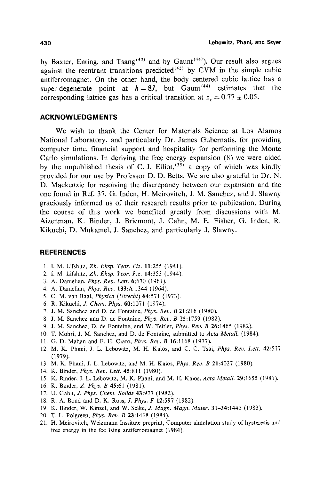by Baxter, Enting, and Tsang<sup>(43)</sup> and by Gaunt<sup>(44)</sup>). Our result also argues against the reentrant transitions predicted<sup> $(45)$ </sup> by CVM in the simple cubic antiferromagnet. On the other hand, the body centered cubic lattice has a super-degenerate point at  $h=8J$ , but Gaunt<sup>(44)</sup> estimates that the corresponding lattice gas has a critical transition at  $z_c = 0.77 \pm 0.05$ .

### **ACKNOWLEDGMENTS**

We wish to thank the Center for Materials Science at Los Alamos National Laboratory, and particularly Dr. James Gubernatis, for providing computer time, financial support and hospitality for performing the Monte Carlo simulations. In deriving the free energy expansion (8) we were aided by the unpublished thesis of C. J. Elliot,  $(35)$  a copy of which was kindly provided for our use by Professor D. D. Betts. We are also grateful to Dr. N. D. Mackenzie for resolving the discrepancy between our expansion and the one found in Ref. 37. G. Inden, H. Meirovitch, J. M. Sanchez, and J. Slawny graciously informed us of their research results prior to publication. During the course of this work we benefited greatly from discussions with M. Aizenman, K. Binder, J. Bricmont, J. Cahn, M. E. Fisher, G. Inden, R. Kikuchi, D. Mukamel, J. Sanchez, and particularly J. Slawny.

### **REFERENCES**

- 1. I. M. Lifshitz, *Zh. Eksp. Teor. Fiz.* 11:255 (1941).
- 2. I. M. Lifshitz, *Zh. Eksp. Teor. Fiz.* 14:353 (1944).
- 3. A. Danielian, *Phys. Rev. Lett.* 6:670 (1961).
- 4. A. Danielian, *Phys. Rev.* 133:A 1344 (1964).
- 5. C. M. van Baal, *Physiea (Utrecht)* 64:571 (1973).
- 6. R. Kikuchi, *J. Chem. Phys.* 60:1071 (1974).
- 7. J. M. Sanchez and D. de Fontaine, *Phys. Rev. B* 21:216 (1980).
- 8. J. M. Sanchez and D. de Fontaine, *Phys. Rev. B* 25:1759 (1982).
- 9. J. M. Sanchez, D. de Fontaine, and W. Teitler, *Phys. Rev. B* 26:1465 (1982).
- 10. T. Mohri, J. M. Sanchez, and D. de Fontaine, submitted to *Acta MetalI.* (1984).
- 11. G. D. Mahan and F. H. Claro, *Phys. Rev. B* 16:1168 (1977).
- 12. M. K. Phani, J. L. Lebowitz, M. H. Kalos, and C. C. Tsai, *Phys. Rev. Lett.* 42:577 (1979).
- 13, M. K. Phani, J. L. Lebowitz, and M. H. Kalos, *Phys. Rev. B* 21:4027 (1980).
- 14. K. Binder, *Phys. Rev. Lett.* 45:811 (1980).
- 15. K. Binder, J. L. Lebowitz, M. K. Phani, and M. H. Kalos, *Acta Metall.* 29:1655 (1981).
- 16. K. Binder, *Z. Phys. B* 45:61 (1981).
- 17. U. Gahn, Z *Phys. Chem. Solids* 43:977 (1982).
- 18. R. A. Bond and D. K. Ross, J. *Phys. F* 12:597 (1982).
- 19. K. Binder, W. Kinzel, and W. Selke, J. *Magn. Magn. Mater.* 31-34:1445 (1983).
- 20. T. L. Polgreen, *Phys. Rev. B* 23:1468 (1984).
- 21. H. Meirovitch, Weizmann Institute preprint, Computer simulation study of hysteresis and free energy in the fcc Ising antiferromagnet (1984).